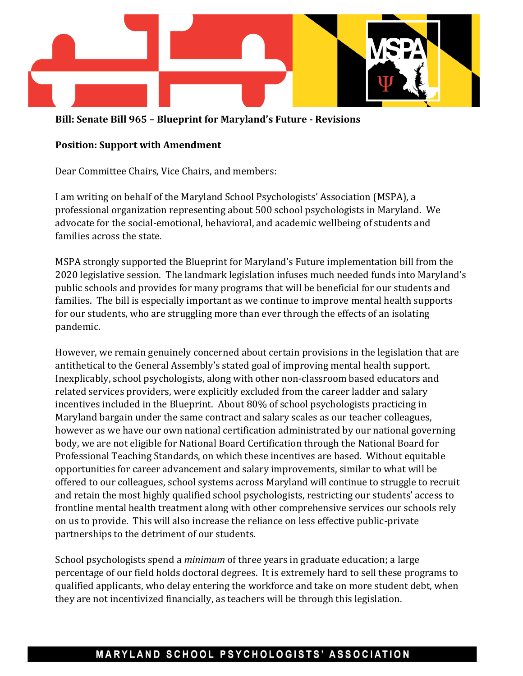

**Bill: Senate Bill 965 – Blueprint for Maryland's Future - Revisions**

## **Position: Support with Amendment**

Dear Committee Chairs, Vice Chairs, and members:

I am writing on behalf of the Maryland School Psychologists' Association (MSPA), a professional organization representing about 500 school psychologists in Maryland. We advocate for the social-emotional, behavioral, and academic wellbeing of students and families across the state.

MSPA strongly supported the Blueprint for Maryland's Future implementation bill from the 2020 legislative session. The landmark legislation infuses much needed funds into Maryland's public schools and provides for many programs that will be beneficial for our students and families. The bill is especially important as we continue to improve mental health supports for our students, who are struggling more than ever through the effects of an isolating pandemic.

However, we remain genuinely concerned about certain provisions in the legislation that are antithetical to the General Assembly's stated goal of improving mental health support. Inexplicably, school psychologists, along with other non-classroom based educators and related services providers, were explicitly excluded from the career ladder and salary incentives included in the Blueprint. About 80% of school psychologists practicing in Maryland bargain under the same contract and salary scales as our teacher colleagues, however as we have our own national certification administrated by our national governing body, we are not eligible for National Board Certification through the National Board for Professional Teaching Standards, on which these incentives are based. Without equitable opportunities for career advancement and salary improvements, similar to what will be offered to our colleagues, school systems across Maryland will continue to struggle to recruit and retain the most highly qualified school psychologists, restricting our students' access to frontline mental health treatment along with other comprehensive services our schools rely on us to provide. This will also increase the reliance on less effective public-private partnerships to the detriment of our students.

School psychologists spend a *minimum* of three years in graduate education; a large percentage of our field holds doctoral degrees. It is extremely hard to sell these programs to qualified applicants, who delay entering the workforce and take on more student debt, when they are not incentivized financially, as teachers will be through this legislation.